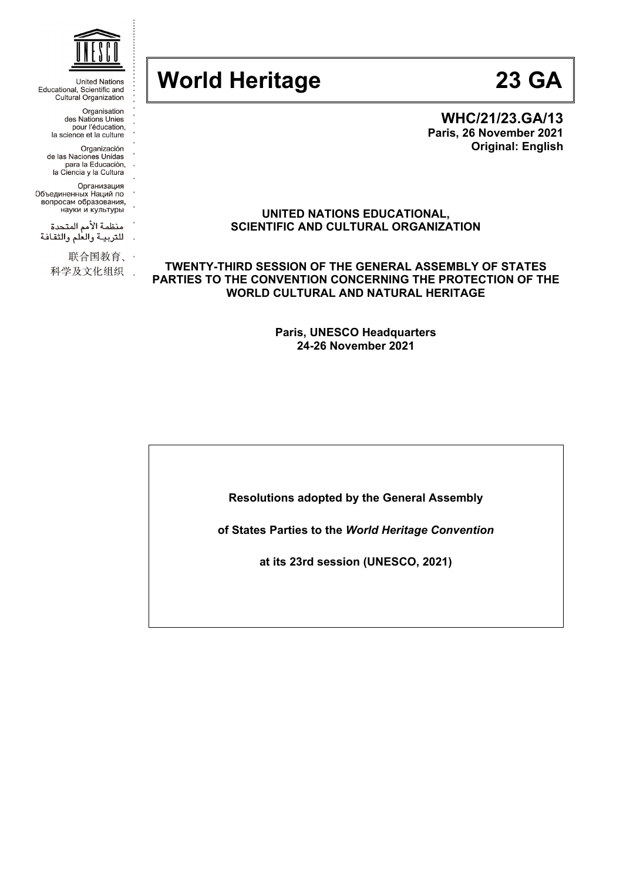

**United Nations** Educational, Scientific and Cultural Organization

> Organisation des Nations Unies<br>pour l'éducation, la science et la culture

Organización de las Naciones Unidas

- 
- para la Educación,<br>la Ciencia y la Cultura
- 
- Организация<br>Объединенных Наций по вопросам образования,
	- науки и культуры
- 
- منظمة الأمم المتحدة للتريية والعلم والثقافة

联合国教育、·

科学及文化组织 .

# **World Heritage 23 GA**

**WHC/21/23.GA/13 Paris, 26 November 2021 Original: English**

#### **UNITED NATIONS EDUCATIONAL, SCIENTIFIC AND CULTURAL ORGANIZATION**

**TWENTY-THIRD SESSION OF THE GENERAL ASSEMBLY OF STATES PARTIES TO THE CONVENTION CONCERNING THE PROTECTION OF THE WORLD CULTURAL AND NATURAL HERITAGE** 

> **Paris, UNESCO Headquarters 24-26 November 2021**

**Resolutions adopted by the General Assembly** 

**of States Parties to the** *World Heritage Convention*

**at its 23rd session (UNESCO, 2021)**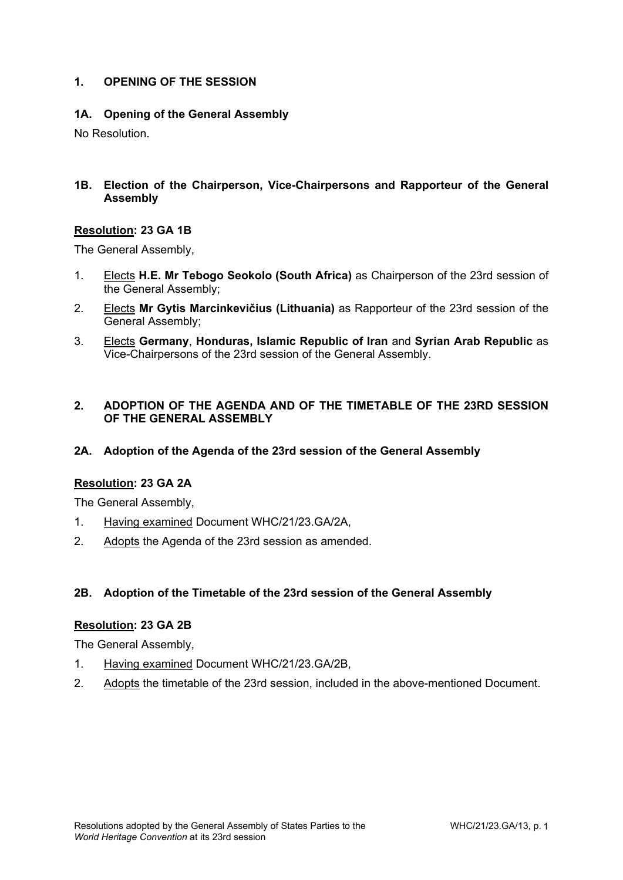## **1. OPENING OF THE SESSION**

# **1A. Opening of the General Assembly**

No Resolution.

# **1B. Election of the Chairperson, Vice-Chairpersons and Rapporteur of the General Assembly**

# **Resolution: 23 GA 1B**

The General Assembly,

- 1. Elects **H.E. Mr Tebogo Seokolo (South Africa)** as Chairperson of the 23rd session of the General Assembly;
- 2. Elects **Mr Gytis Marcinkevičius (Lithuania)** as Rapporteur of the 23rd session of the General Assembly;
- 3. Elects **Germany**, **Honduras, Islamic Republic of Iran** and **Syrian Arab Republic** as Vice-Chairpersons of the 23rd session of the General Assembly.

## **2. ADOPTION OF THE AGENDA AND OF THE TIMETABLE OF THE 23RD SESSION OF THE GENERAL ASSEMBLY**

## **2A. Adoption of the Agenda of the 23rd session of the General Assembly**

## **Resolution: 23 GA 2A**

The General Assembly,

- 1. Having examined Document WHC/21/23.GA/2A,
- 2. Adopts the Agenda of the 23rd session as amended.

## **2B. Adoption of the Timetable of the 23rd session of the General Assembly**

## **Resolution: 23 GA 2B**

- 1. Having examined Document WHC/21/23.GA/2B,
- 2. Adopts the timetable of the 23rd session, included in the above-mentioned Document.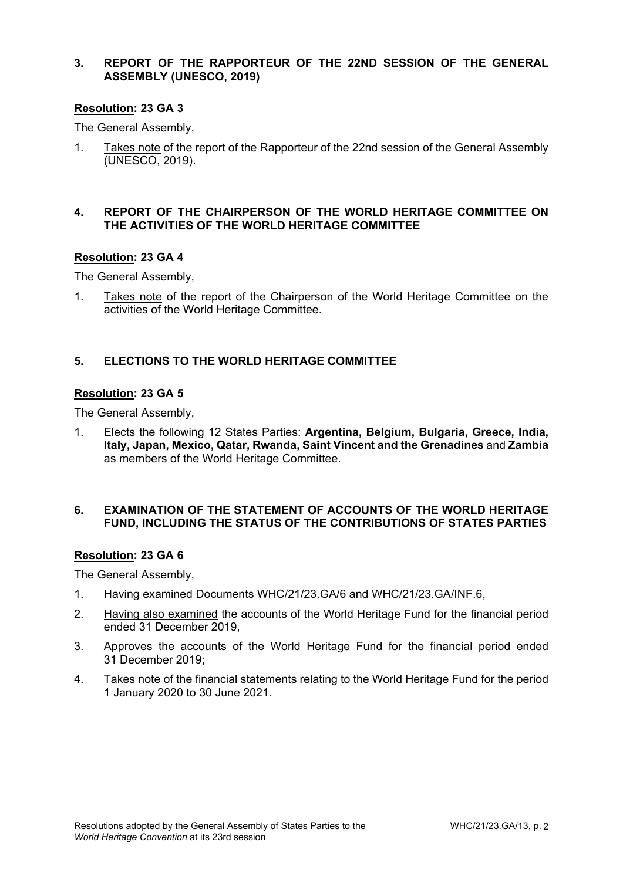## **3. REPORT OF THE RAPPORTEUR OF THE 22ND SESSION OF THE GENERAL ASSEMBLY (UNESCO, 2019)**

# **Resolution: 23 GA 3**

The General Assembly,

1. Takes note of the report of the Rapporteur of the 22nd session of the General Assembly (UNESCO, 2019).

## **4. REPORT OF THE CHAIRPERSON OF THE WORLD HERITAGE COMMITTEE ON THE ACTIVITIES OF THE WORLD HERITAGE COMMITTEE**

#### **Resolution: 23 GA 4**

The General Assembly,

1. Takes note of the report of the Chairperson of the World Heritage Committee on the activities of the World Heritage Committee.

# **5. ELECTIONS TO THE WORLD HERITAGE COMMITTEE**

## **Resolution: 23 GA 5**

The General Assembly,

1. Elects the following 12 States Parties: **Argentina, Belgium, Bulgaria, Greece, India, Italy, Japan, Mexico, Qatar, Rwanda, Saint Vincent and the Grenadines** and **Zambia** as members of the World Heritage Committee.

## **6. EXAMINATION OF THE STATEMENT OF ACCOUNTS OF THE WORLD HERITAGE FUND, INCLUDING THE STATUS OF THE CONTRIBUTIONS OF STATES PARTIES**

#### **Resolution: 23 GA 6**

- 1. Having examined Documents WHC/21/23.GA/6 and WHC/21/23.GA/INF.6,
- 2. Having also examined the accounts of the World Heritage Fund for the financial period ended 31 December 2019,
- 3. Approves the accounts of the World Heritage Fund for the financial period ended 31 December 2019;
- 4. Takes note of the financial statements relating to the World Heritage Fund for the period 1 January 2020 to 30 June 2021.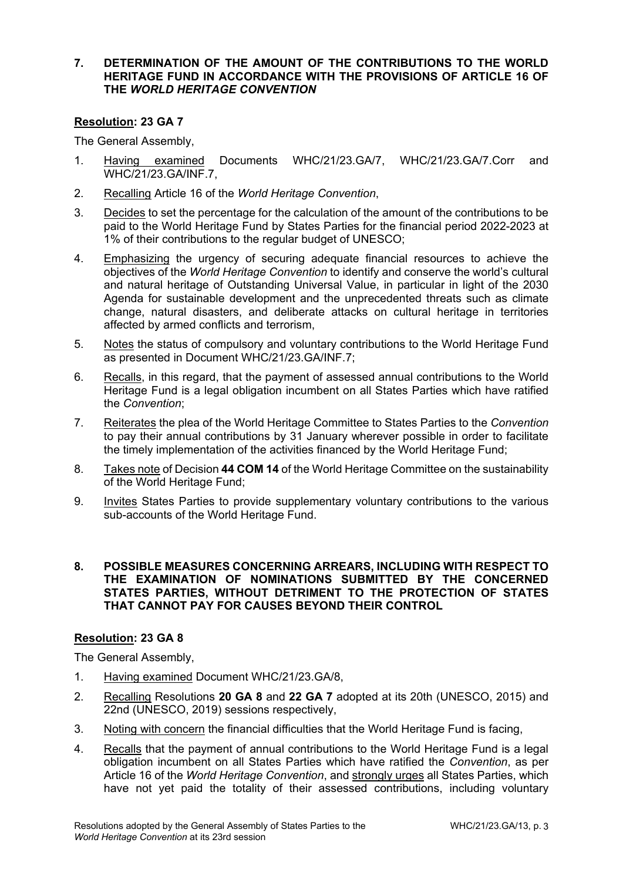## **7. DETERMINATION OF THE AMOUNT OF THE CONTRIBUTIONS TO THE WORLD HERITAGE FUND IN ACCORDANCE WITH THE PROVISIONS OF ARTICLE 16 OF THE** *WORLD HERITAGE CONVENTION*

#### **Resolution: 23 GA 7**

The General Assembly,

- 1. Having examined Documents WHC/21/23.GA/7, WHC/21/23.GA/7.Corr and WHC/21/23.GA/INF.7,
- 2. Recalling Article 16 of the *World Heritage Convention*,
- 3. Decides to set the percentage for the calculation of the amount of the contributions to be paid to the World Heritage Fund by States Parties for the financial period 2022-2023 at 1% of their contributions to the regular budget of UNESCO;
- 4. Emphasizing the urgency of securing adequate financial resources to achieve the objectives of the *World Heritage Convention* to identify and conserve the world's cultural and natural heritage of Outstanding Universal Value, in particular in light of the 2030 Agenda for sustainable development and the unprecedented threats such as climate change, natural disasters, and deliberate attacks on cultural heritage in territories affected by armed conflicts and terrorism,
- 5. Notes the status of compulsory and voluntary contributions to the World Heritage Fund as presented in Document WHC/21/23.GA/INF.7;
- 6. Recalls, in this regard, that the payment of assessed annual contributions to the World Heritage Fund is a legal obligation incumbent on all States Parties which have ratified the *Convention*;
- 7. Reiterates the plea of the World Heritage Committee to States Parties to the *Convention* to pay their annual contributions by 31 January wherever possible in order to facilitate the timely implementation of the activities financed by the World Heritage Fund;
- 8. Takes note of Decision **44 COM 14** of the World Heritage Committee on the sustainability of the World Heritage Fund;
- 9. Invites States Parties to provide supplementary voluntary contributions to the various sub-accounts of the World Heritage Fund.

#### **8. POSSIBLE MEASURES CONCERNING ARREARS, INCLUDING WITH RESPECT TO THE EXAMINATION OF NOMINATIONS SUBMITTED BY THE CONCERNED STATES PARTIES, WITHOUT DETRIMENT TO THE PROTECTION OF STATES THAT CANNOT PAY FOR CAUSES BEYOND THEIR CONTROL**

#### **Resolution: 23 GA 8**

- 1. Having examined Document WHC/21/23.GA/8,
- 2. Recalling Resolutions **20 GA 8** and **22 GA 7** adopted at its 20th (UNESCO, 2015) and 22nd (UNESCO, 2019) sessions respectively,
- 3. Noting with concern the financial difficulties that the World Heritage Fund is facing,
- 4. Recalls that the payment of annual contributions to the World Heritage Fund is a legal obligation incumbent on all States Parties which have ratified the *Convention*, as per Article 16 of the *World Heritage Convention*, and strongly urges all States Parties, which have not yet paid the totality of their assessed contributions, including voluntary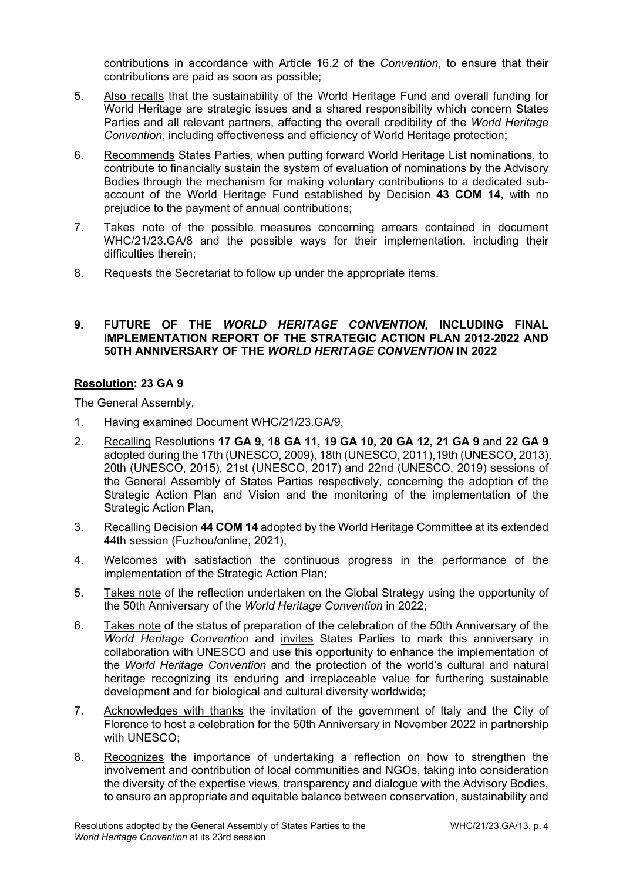contributions in accordance with Article 16.2 of the *Convention*, to ensure that their contributions are paid as soon as possible;

- 5. Also recalls that the sustainability of the World Heritage Fund and overall funding for World Heritage are strategic issues and a shared responsibility which concern States Parties and all relevant partners, affecting the overall credibility of the *World Heritage Convention*, including effectiveness and efficiency of World Heritage protection;
- 6. Recommends States Parties, when putting forward World Heritage List nominations, to contribute to financially sustain the system of evaluation of nominations by the Advisory Bodies through the mechanism for making voluntary contributions to a dedicated subaccount of the World Heritage Fund established by Decision **43 COM 14**, with no prejudice to the payment of annual contributions;
- 7. Takes note of the possible measures concerning arrears contained in document WHC/21/23.GA/8 and the possible ways for their implementation, including their difficulties therein;
- 8. Requests the Secretariat to follow up under the appropriate items.

#### **9. FUTURE OF THE** *WORLD HERITAGE CONVENTION,* **INCLUDING FINAL IMPLEMENTATION REPORT OF THE STRATEGIC ACTION PLAN 2012-2022 AND 50TH ANNIVERSARY OF THE** *WORLD HERITAGE CONVENTION* **IN 2022**

## **Resolution: 23 GA 9**

- 1. Having examined Document WHC/21/23.GA/9,
- 2. Recalling Resolutions **17 GA 9**, **18 GA 11, 19 GA 10, 20 GA 12, 21 GA 9** and **22 GA 9**  adopted during the 17th (UNESCO, 2009), 18th (UNESCO, 2011),19th (UNESCO, 2013), 20th (UNESCO, 2015), 21st (UNESCO, 2017) and 22nd (UNESCO, 2019) sessions of the General Assembly of States Parties respectively, concerning the adoption of the Strategic Action Plan and Vision and the monitoring of the implementation of the Strategic Action Plan,
- 3. Recalling Decision **44 COM 14** adopted by the World Heritage Committee at its extended 44th session (Fuzhou/online, 2021),
- 4. Welcomes with satisfaction the continuous progress in the performance of the implementation of the Strategic Action Plan;
- 5. Takes note of the reflection undertaken on the Global Strategy using the opportunity of the 50th Anniversary of the *World Heritage Convention* in 2022;
- 6. Takes note of the status of preparation of the celebration of the 50th Anniversary of the *World Heritage Convention* and invites States Parties to mark this anniversary in collaboration with UNESCO and use this opportunity to enhance the implementation of the *World Heritage Convention* and the protection of the world's cultural and natural heritage recognizing its enduring and irreplaceable value for furthering sustainable development and for biological and cultural diversity worldwide;
- 7. Acknowledges with thanks the invitation of the government of Italy and the City of Florence to host a celebration for the 50th Anniversary in November 2022 in partnership with UNESCO;
- 8. Recognizes the importance of undertaking a reflection on how to strengthen the involvement and contribution of local communities and NGOs, taking into consideration the diversity of the expertise views, transparency and dialogue with the Advisory Bodies, to ensure an appropriate and equitable balance between conservation, sustainability and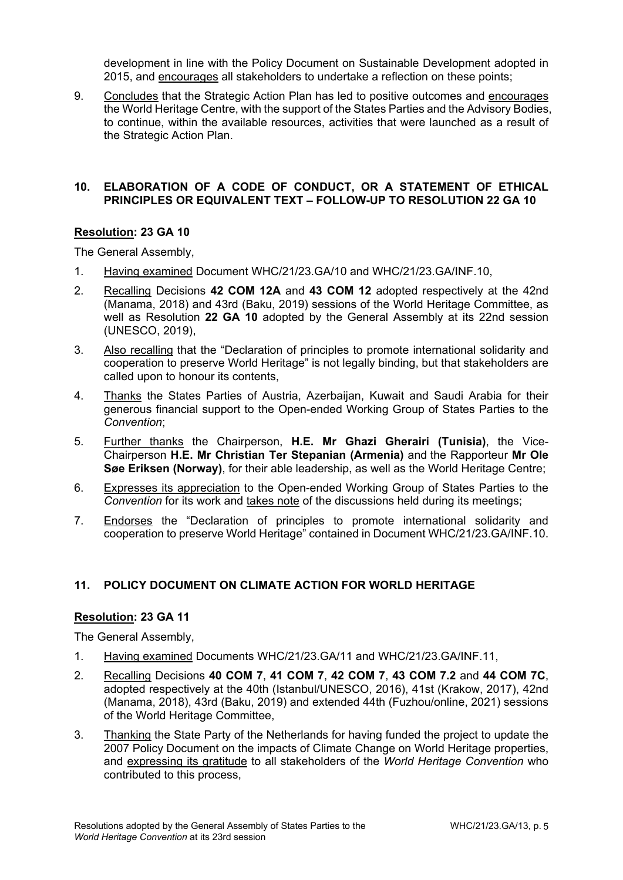development in line with the Policy Document on Sustainable Development adopted in 2015, and encourages all stakeholders to undertake a reflection on these points;

9. Concludes that the Strategic Action Plan has led to positive outcomes and encourages the World Heritage Centre, with the support of the States Parties and the Advisory Bodies, to continue, within the available resources, activities that were launched as a result of the Strategic Action Plan.

#### **10. ELABORATION OF A CODE OF CONDUCT, OR A STATEMENT OF ETHICAL PRINCIPLES OR EQUIVALENT TEXT – FOLLOW-UP TO RESOLUTION 22 GA 10**

## **Resolution: 23 GA 10**

The General Assembly,

- 1. Having examined Document WHC/21/23.GA/10 and WHC/21/23.GA/INF.10,
- 2. Recalling Decisions **42 COM 12A** and **43 COM 12** adopted respectively at the 42nd (Manama, 2018) and 43rd (Baku, 2019) sessions of the World Heritage Committee, as well as Resolution **22 GA 10** adopted by the General Assembly at its 22nd session (UNESCO, 2019),
- 3. Also recalling that the "Declaration of principles to promote international solidarity and cooperation to preserve World Heritage" is not legally binding, but that stakeholders are called upon to honour its contents,
- 4. Thanks the States Parties of Austria, Azerbaijan, Kuwait and Saudi Arabia for their generous financial support to the Open-ended Working Group of States Parties to the *Convention*;
- 5. Further thanks the Chairperson, **H.E. Mr Ghazi Gherairi (Tunisia)**, the Vice-Chairperson **H.E. Mr Christian Ter Stepanian (Armenia)** and the Rapporteur **Mr Ole Søe Eriksen (Norway)**, for their able leadership, as well as the World Heritage Centre;
- 6. Expresses its appreciation to the Open-ended Working Group of States Parties to the *Convention* for its work and takes note of the discussions held during its meetings;
- 7. Endorses the "Declaration of principles to promote international solidarity and cooperation to preserve World Heritage" contained in Document WHC/21/23.GA/INF.10.

## **11. POLICY DOCUMENT ON CLIMATE ACTION FOR WORLD HERITAGE**

## **Resolution: 23 GA 11**

- 1. Having examined Documents WHC/21/23.GA/11 and WHC/21/23.GA/INF.11,
- 2. Recalling Decisions **40 COM 7**, **41 COM 7**, **42 COM 7**, **43 COM 7.2** and **44 COM 7C**, adopted respectively at the 40th (Istanbul/UNESCO, 2016), 41st (Krakow, 2017), 42nd (Manama, 2018), 43rd (Baku, 2019) and extended 44th (Fuzhou/online, 2021) sessions of the World Heritage Committee,
- 3. Thanking the State Party of the Netherlands for having funded the project to update the 2007 Policy Document on the impacts of Climate Change on World Heritage properties, and expressing its gratitude to all stakeholders of the *World Heritage Convention* who contributed to this process,